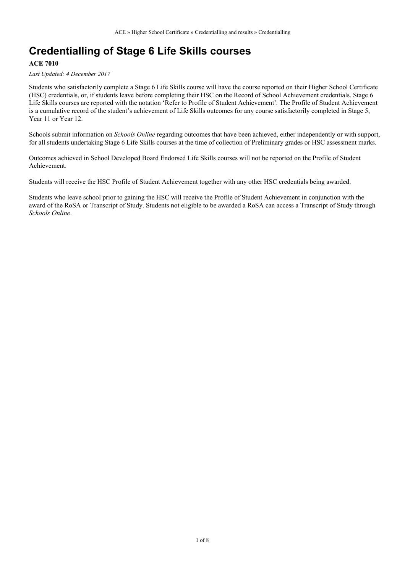## **Credentialling of Stage 6 Life Skills courses**

#### **ACE 7010**

*Last Updated: 4 December 2017*

Students who satisfactorily complete a Stage 6 Life Skills course will have the course reported on their Higher School Certificate (HSC) credentials, or, if students leave before completing their HSC on the Record of School Achievement credentials. Stage 6 Life Skills courses are reported with the notation 'Refer to Profile of Student Achievement'*.* The Profile of Student Achievement is a cumulative record of the student's achievement of Life Skills outcomes for any course satisfactorily completed in Stage 5, Year 11 or Year 12.

Schools submit information on *Schools Online* regarding outcomes that have been achieved, either independently or with support, for all students undertaking Stage 6 Life Skills courses at the time of collection of Preliminary grades or HSC assessment marks.

Outcomes achieved in School Developed Board Endorsed Life Skills courses will not be reported on the Profile of Student Achievement.

Students will receive the HSC Profile of Student Achievement together with any other HSC credentials being awarded.

Students who leave school prior to gaining the HSC will receive the Profile of Student Achievement in conjunction with the award of the RoSA or Transcript of Study. Students not eligible to be awarded a RoSA can access a Transcript of Study through *Schools Online*.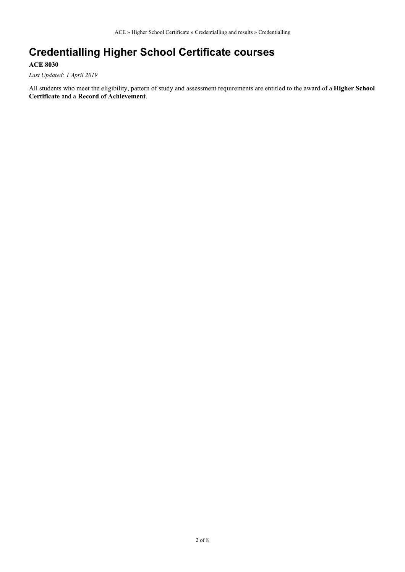# **Credentialling Higher School Certificate courses**

### **ACE 8030**

*Last Updated: 1 April 2019*

All students who meet the eligibility, pattern of study and assessment requirements are entitled to the award of a **Higher School Certificate** and a **Record of Achievement**.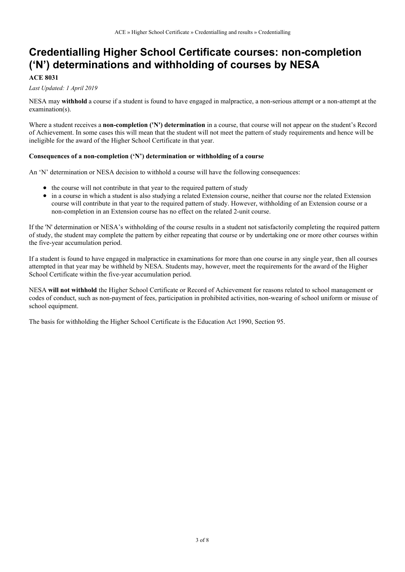## **Credentialling Higher School Certificate courses: non-completion ('N') determinations and withholding of courses by NESA**

#### **ACE 8031**

#### *Last Updated: 1 April 2019*

NESA may **withhold** a course if a student is found to have engaged in malpractice, a non-serious attempt or a non-attempt at the examination(s).

Where a student receives a **non-completion ('N') determination** in a course, that course will not appear on the student's Record of Achievement. In some cases this will mean that the student will not meet the pattern of study requirements and hence will be ineligible for the award of the Higher School Certificate in that year.

#### **Consequences of a non-completion ('N') determination or withholding of a course**

An 'N' determination or NESA decision to withhold a course will have the following consequences:

- the course will not contribute in that year to the required pattern of study
- in a course in which a student is also studying a related Extension course, neither that course nor the related Extension course will contribute in that year to the required pattern of study. However, withholding of an Extension course or a non-completion in an Extension course has no effect on the related 2-unit course.

If the 'N' determination or NESA's withholding of the course results in a student not satisfactorily completing the required pattern of study, the student may complete the pattern by either repeating that course or by undertaking one or more other courses within the five-year accumulation period.

If a student is found to have engaged in malpractice in examinations for more than one course in any single year, then all courses attempted in that year may be withheld by NESA. Students may, however, meet the requirements for the award of the Higher School Certificate within the five-year accumulation period.

NESA **will not withhold** the Higher School Certificate or Record of Achievement for reasons related to school management or codes of conduct, such as non-payment of fees, participation in prohibited activities, non-wearing of school uniform or misuse of school equipment.

The basis for withholding the Higher School Certificate is the Education Act 1990, Section 95.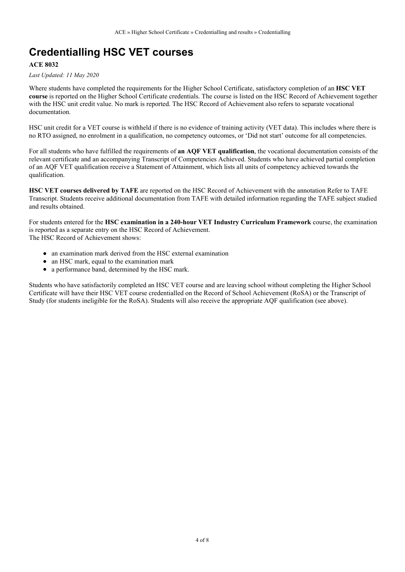# **Credentialling HSC VET courses**

### **ACE 8032**

#### *Last Updated: 11 May 2020*

Where students have completed the requirements for the Higher School Certificate, satisfactory completion of an **HSC VET course** is reported on the Higher School Certificate credentials. The course is listed on the HSC Record of Achievement together with the HSC unit credit value. No mark is reported. The HSC Record of Achievement also refers to separate vocational documentation.

HSC unit credit for a VET course is withheld if there is no evidence of training activity (VET data). This includes where there is no RTO assigned, no enrolment in a qualification, no competency outcomes, or 'Did not start' outcome for all competencies.

For all students who have fulfilled the requirements of **an AQF VET qualification**, the vocational documentation consists of the relevant certificate and an accompanying Transcript of Competencies Achieved. Students who have achieved partial completion of an AQF VET qualification receive a Statement of Attainment, which lists all units of competency achieved towards the qualification.

**HSC VET courses delivered by TAFE** are reported on the HSC Record of Achievement with the annotation Refer to TAFE Transcript. Students receive additional documentation from TAFE with detailed information regarding the TAFE subject studied and results obtained.

For students entered for the **HSC examination in a 240-hour VET Industry Curriculum Framework** course, the examination is reported as a separate entry on the HSC Record of Achievement. The HSC Record of Achievement shows:

- an examination mark derived from the HSC external examination
- an HSC mark, equal to the examination mark
- a performance band, determined by the HSC mark.

Students who have satisfactorily completed an HSC VET course and are leaving school without completing the Higher School Certificate will have their HSC VET course credentialled on the Record of School Achievement (RoSA) or the Transcript of Study (for students ineligible for the RoSA). Students will also receive the appropriate AQF qualification (see above).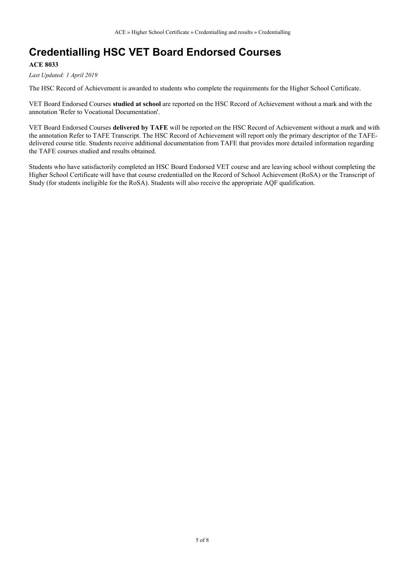# **Credentialling HSC VET Board Endorsed Courses**

### **ACE 8033**

*Last Updated: 1 April 2019*

The HSC Record of Achievement is awarded to students who complete the requirements for the Higher School Certificate.

VET Board Endorsed Courses **studied at school** are reported on the HSC Record of Achievement without a mark and with the annotation 'Refer to Vocational Documentation'.

VET Board Endorsed Courses **delivered by TAFE** will be reported on the HSC Record of Achievement without a mark and with the annotation Refer to TAFE Transcript. The HSC Record of Achievement will report only the primary descriptor of the TAFEdelivered course title. Students receive additional documentation from TAFE that provides more detailed information regarding the TAFE courses studied and results obtained.

Students who have satisfactorily completed an HSC Board Endorsed VET course and are leaving school without completing the Higher School Certificate will have that course credentialled on the Record of School Achievement (RoSA) or the Transcript of Study (for students ineligible for the RoSA). Students will also receive the appropriate AQF qualification.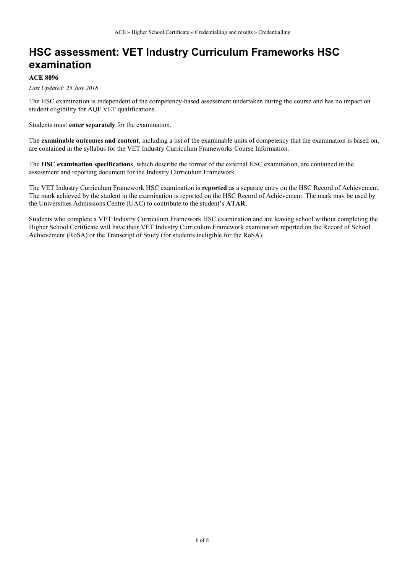# **HSC assessment: VET Industry Curriculum Frameworks HSC examination**

#### **ACE 8096**

#### *Last Updated: 25 July 2018*

The HSC examination is independent of the competency-based assessment undertaken during the course and has no impact on student eligibility for AQF VET qualifications.

Students must **enter separately** for the examination.

The **examinable outcomes and content**, including a list of the examinable units of competency that the examination is based on, are contained in the syllabus for the VET Industry Curriculum Frameworks Course Information.

The **HSC examination specifications**, which describe the format of the external HSC examination, are contained in the assessment and reporting document for the Industry Curriculum Framework.

The VET Industry Curriculum Framework HSC examination is **reported** as a separate entry on the HSC Record of Achievement. The mark achieved by the student in the examination is reported on the HSC Record of Achievement. The mark may be used by the Universities Admissions Centre (UAC) to contribute to the student's **ATAR**.

Students who complete a VET Industry Curriculum Framework HSC examination and are leaving school without completing the Higher School Certificate will have their VET Industry Curriculum Framework examination reported on the Record of School Achievement (RoSA) or the Transcript of Study (for students ineligible for the RoSA).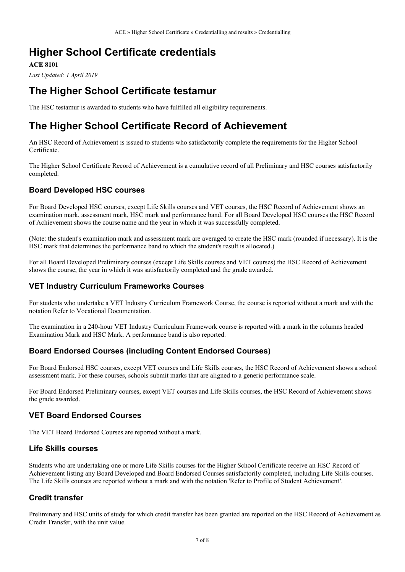# **Higher School Certificate credentials**

**ACE 8101**

*Last Updated: 1 April 2019*

## **The Higher School Certificate testamur**

The HSC testamur is awarded to students who have fulfilled all eligibility requirements.

## **The Higher School Certificate Record of Achievement**

An HSC Record of Achievement is issued to students who satisfactorily complete the requirements for the Higher School Certificate.

The Higher School Certificate Record of Achievement is a cumulative record of all Preliminary and HSC courses satisfactorily completed.

## **Board Developed HSC courses**

For Board Developed HSC courses, except Life Skills courses and VET courses, the HSC Record of Achievement shows an examination mark, assessment mark, HSC mark and performance band. For all Board Developed HSC courses the HSC Record of Achievement shows the course name and the year in which it was successfully completed.

(Note: the student's examination mark and assessment mark are averaged to create the HSC mark (rounded if necessary). It is the HSC mark that determines the performance band to which the student's result is allocated.)

For all Board Developed Preliminary courses (except Life Skills courses and VET courses) the HSC Record of Achievement shows the course, the year in which it was satisfactorily completed and the grade awarded.

### **VET Industry Curriculum Frameworks Courses**

For students who undertake a VET Industry Curriculum Framework Course, the course is reported without a mark and with the notation Refer to Vocational Documentation.

The examination in a 240-hour VET Industry Curriculum Framework course is reported with a mark in the columns headed Examination Mark and HSC Mark. A performance band is also reported.

## **Board Endorsed Courses (including Content Endorsed Courses)**

For Board Endorsed HSC courses, except VET courses and Life Skills courses, the HSC Record of Achievement shows a school assessment mark. For these courses, schools submit marks that are aligned to a generic performance scale.

For Board Endorsed Preliminary courses, except VET courses and Life Skills courses, the HSC Record of Achievement shows the grade awarded.

## **VET Board Endorsed Courses**

The VET Board Endorsed Courses are reported without a mark.

### **Life Skills courses**

Students who are undertaking one or more Life Skills courses for the Higher School Certificate receive an HSC Record of Achievement listing any Board Developed and Board Endorsed Courses satisfactorily completed, including Life Skills courses. The Life Skills courses are reported without a mark and with the notation 'Refer to Profile of Student Achievement*'*.

## **Credit transfer**

Preliminary and HSC units of study for which credit transfer has been granted are reported on the HSC Record of Achievement as Credit Transfer, with the unit value.